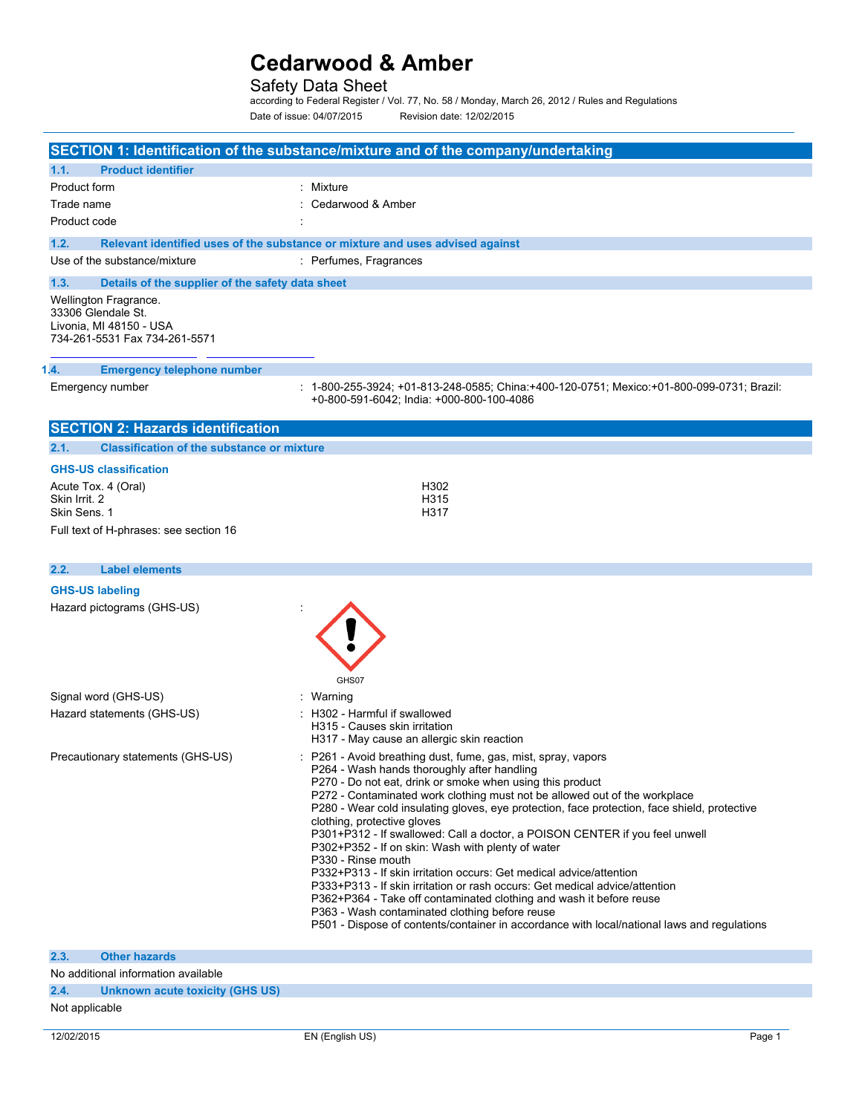# Safety Data Sheet

according to Federal Register / Vol. 77, No. 58 / Monday, March 26, 2012 / Rules and Regulations Date of issue: 04/07/2015 Revision date: 12/02/2015

|                                                                                                         | SECTION 1: Identification of the substance/mixture and of the company/undertaking                                                                                                                                                                                                                                                                                                                                                                                                                                                                                                                                       |
|---------------------------------------------------------------------------------------------------------|-------------------------------------------------------------------------------------------------------------------------------------------------------------------------------------------------------------------------------------------------------------------------------------------------------------------------------------------------------------------------------------------------------------------------------------------------------------------------------------------------------------------------------------------------------------------------------------------------------------------------|
| <b>Product identifier</b><br>1.1.                                                                       |                                                                                                                                                                                                                                                                                                                                                                                                                                                                                                                                                                                                                         |
| Product form                                                                                            | : Mixture                                                                                                                                                                                                                                                                                                                                                                                                                                                                                                                                                                                                               |
| Trade name                                                                                              | : Cedarwood & Amber                                                                                                                                                                                                                                                                                                                                                                                                                                                                                                                                                                                                     |
| Product code                                                                                            |                                                                                                                                                                                                                                                                                                                                                                                                                                                                                                                                                                                                                         |
| 1.2.                                                                                                    | Relevant identified uses of the substance or mixture and uses advised against                                                                                                                                                                                                                                                                                                                                                                                                                                                                                                                                           |
| Use of the substance/mixture                                                                            | : Perfumes, Fragrances                                                                                                                                                                                                                                                                                                                                                                                                                                                                                                                                                                                                  |
|                                                                                                         |                                                                                                                                                                                                                                                                                                                                                                                                                                                                                                                                                                                                                         |
| 1.3.<br>Details of the supplier of the safety data sheet                                                |                                                                                                                                                                                                                                                                                                                                                                                                                                                                                                                                                                                                                         |
| Wellington Fragrance.<br>33306 Glendale St.<br>Livonia, MI 48150 - USA<br>734-261-5531 Fax 734-261-5571 |                                                                                                                                                                                                                                                                                                                                                                                                                                                                                                                                                                                                                         |
| 1.4.<br><b>Emergency telephone number</b>                                                               |                                                                                                                                                                                                                                                                                                                                                                                                                                                                                                                                                                                                                         |
| Emergency number                                                                                        | : 1-800-255-3924; +01-813-248-0585; China:+400-120-0751; Mexico:+01-800-099-0731; Brazil:<br>+0-800-591-6042; India: +000-800-100-4086                                                                                                                                                                                                                                                                                                                                                                                                                                                                                  |
| <b>SECTION 2: Hazards identification</b>                                                                |                                                                                                                                                                                                                                                                                                                                                                                                                                                                                                                                                                                                                         |
| <b>Classification of the substance or mixture</b><br>2.1.                                               |                                                                                                                                                                                                                                                                                                                                                                                                                                                                                                                                                                                                                         |
| <b>GHS-US classification</b>                                                                            |                                                                                                                                                                                                                                                                                                                                                                                                                                                                                                                                                                                                                         |
| Acute Tox. 4 (Oral)                                                                                     | H302                                                                                                                                                                                                                                                                                                                                                                                                                                                                                                                                                                                                                    |
| Skin Irrit. 2<br>Skin Sens. 1                                                                           | H315<br>H317                                                                                                                                                                                                                                                                                                                                                                                                                                                                                                                                                                                                            |
| Full text of H-phrases: see section 16                                                                  |                                                                                                                                                                                                                                                                                                                                                                                                                                                                                                                                                                                                                         |
|                                                                                                         |                                                                                                                                                                                                                                                                                                                                                                                                                                                                                                                                                                                                                         |
| 2.2.<br><b>Label elements</b>                                                                           |                                                                                                                                                                                                                                                                                                                                                                                                                                                                                                                                                                                                                         |
|                                                                                                         |                                                                                                                                                                                                                                                                                                                                                                                                                                                                                                                                                                                                                         |
| <b>GHS-US labeling</b><br>Hazard pictograms (GHS-US)                                                    |                                                                                                                                                                                                                                                                                                                                                                                                                                                                                                                                                                                                                         |
|                                                                                                         | GHS07                                                                                                                                                                                                                                                                                                                                                                                                                                                                                                                                                                                                                   |
| Signal word (GHS-US)                                                                                    | : Warning                                                                                                                                                                                                                                                                                                                                                                                                                                                                                                                                                                                                               |
| Hazard statements (GHS-US)                                                                              | H302 - Harmful if swallowed<br>H315 - Causes skin irritation<br>H317 - May cause an allergic skin reaction                                                                                                                                                                                                                                                                                                                                                                                                                                                                                                              |
| Precautionary statements (GHS-US)                                                                       | : P261 - Avoid breathing dust, fume, gas, mist, spray, vapors<br>P264 - Wash hands thoroughly after handling<br>P270 - Do not eat, drink or smoke when using this product<br>P272 - Contaminated work clothing must not be allowed out of the workplace<br>P280 - Wear cold insulating gloves, eye protection, face protection, face shield, protective<br>clothing, protective gloves<br>P301+P312 - If swallowed: Call a doctor, a POISON CENTER if you feel unwell<br>P302+P352 - If on skin: Wash with plenty of water<br>P330 - Rinse mouth<br>P332+P313 - If skin irritation occurs: Get medical advice/attention |
|                                                                                                         | P333+P313 - If skin irritation or rash occurs: Get medical advice/attention<br>P362+P364 - Take off contaminated clothing and wash it before reuse<br>P363 - Wash contaminated clothing before reuse<br>P501 - Dispose of contents/container in accordance with local/national laws and regulations                                                                                                                                                                                                                                                                                                                     |
| 2.3.<br><b>Other hazards</b>                                                                            |                                                                                                                                                                                                                                                                                                                                                                                                                                                                                                                                                                                                                         |

# **2.4. Unknown acute toxicity (GHS US)**

Not applicable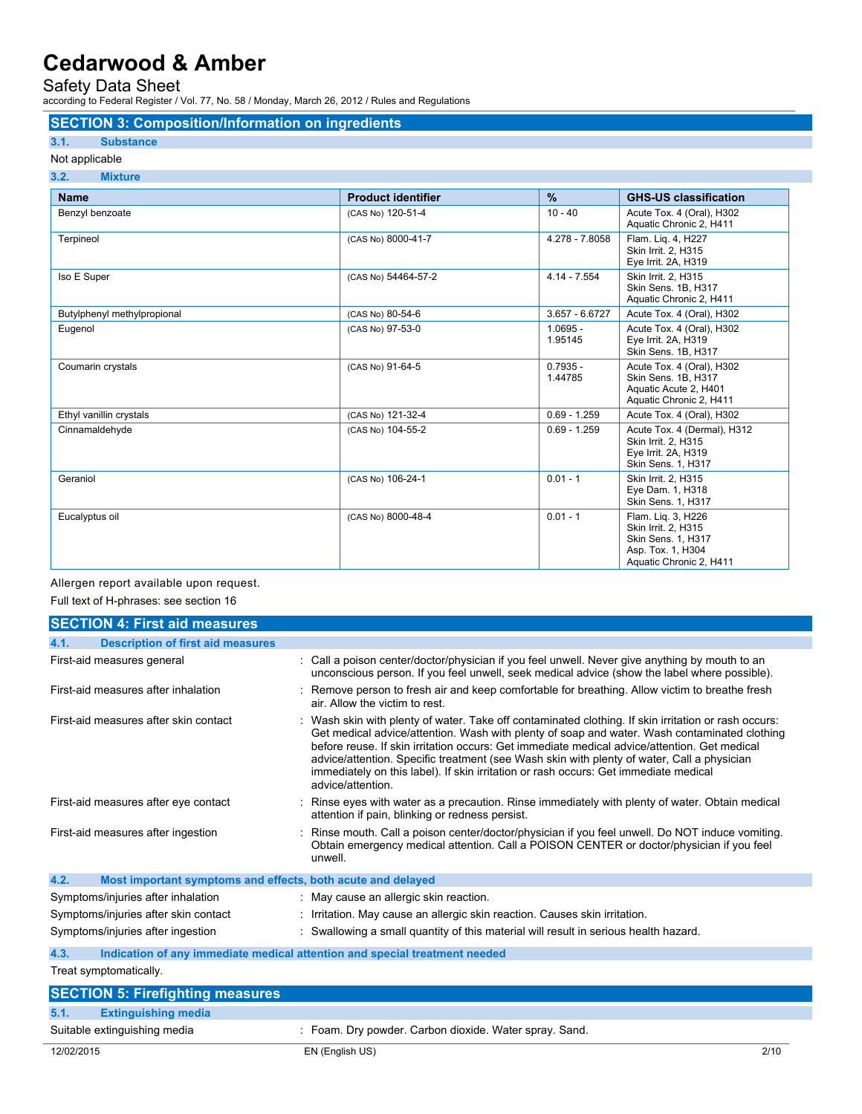Safety Data Sheet

according to Federal Register / Vol. 77, No. 58 / Monday, March 26, 2012 / Rules and Regulations

### **SECTION 3: Composition/Information on ingredients**

### **3.1. Substance**

#### Not applicable **3.2. Mixture**

| 3.4.<br><b>IVIIXUIE</b>     |                           |                       |                                                                                                                 |  |  |
|-----------------------------|---------------------------|-----------------------|-----------------------------------------------------------------------------------------------------------------|--|--|
| <b>Name</b>                 | <b>Product identifier</b> | $\%$                  | <b>GHS-US classification</b>                                                                                    |  |  |
| Benzyl benzoate             | (CAS No) 120-51-4         | $10 - 40$             | Acute Tox. 4 (Oral), H302<br>Aquatic Chronic 2, H411                                                            |  |  |
| Terpineol                   | (CAS No) 8000-41-7        | 4.278 - 7.8058        | Flam. Lig. 4, H227<br>Skin Irrit. 2. H315<br>Eye Irrit. 2A, H319                                                |  |  |
| Iso E Super                 | (CAS No) 54464-57-2       | $4.14 - 7.554$        | Skin Irrit. 2. H315<br>Skin Sens. 1B, H317<br>Aquatic Chronic 2, H411                                           |  |  |
| Butylphenyl methylpropional | (CAS No) 80-54-6          | $3.657 - 6.6727$      | Acute Tox. 4 (Oral), H302                                                                                       |  |  |
| Eugenol                     | (CAS No) 97-53-0          | $1.0695 -$<br>1.95145 | Acute Tox. 4 (Oral), H302<br>Eye Irrit. 2A, H319<br>Skin Sens. 1B, H317                                         |  |  |
| Coumarin crystals           | (CAS No) 91-64-5          | $0.7935 -$<br>1.44785 | Acute Tox. 4 (Oral), H302<br>Skin Sens. 1B. H317<br>Aquatic Acute 2, H401<br>Aquatic Chronic 2, H411            |  |  |
| Ethyl vanillin crystals     | (CAS No) 121-32-4         | $0.69 - 1.259$        | Acute Tox. 4 (Oral), H302                                                                                       |  |  |
| Cinnamaldehyde              | (CAS No) 104-55-2         | $0.69 - 1.259$        | Acute Tox. 4 (Dermal), H312<br>Skin Irrit. 2, H315<br>Eye Irrit. 2A, H319<br>Skin Sens. 1, H317                 |  |  |
| Geraniol                    | (CAS No) 106-24-1         | $0.01 - 1$            | Skin Irrit. 2, H315<br>Eye Dam. 1, H318<br>Skin Sens. 1, H317                                                   |  |  |
| Eucalyptus oil              | (CAS No) 8000-48-4        | $0.01 - 1$            | Flam. Lig. 3, H226<br>Skin Irrit. 2, H315<br>Skin Sens. 1, H317<br>Asp. Tox. 1, H304<br>Aquatic Chronic 2, H411 |  |  |

### Allergen report available upon request. Full text of H-phrases: see section 16

| <b>SECTION 4: First aid measures</b>                                |                                                                                                                                                                                                                                                                                                                                                                                                                                                                                                                 |  |
|---------------------------------------------------------------------|-----------------------------------------------------------------------------------------------------------------------------------------------------------------------------------------------------------------------------------------------------------------------------------------------------------------------------------------------------------------------------------------------------------------------------------------------------------------------------------------------------------------|--|
| <b>Description of first aid measures</b><br>4.1.                    |                                                                                                                                                                                                                                                                                                                                                                                                                                                                                                                 |  |
| First-aid measures general                                          | : Call a poison center/doctor/physician if you feel unwell. Never give anything by mouth to an<br>unconscious person. If you feel unwell, seek medical advice (show the label where possible).                                                                                                                                                                                                                                                                                                                  |  |
| First-aid measures after inhalation                                 | : Remove person to fresh air and keep comfortable for breathing. Allow victim to breathe fresh<br>air. Allow the victim to rest.                                                                                                                                                                                                                                                                                                                                                                                |  |
| First-aid measures after skin contact                               | : Wash skin with plenty of water. Take off contaminated clothing. If skin irritation or rash occurs:<br>Get medical advice/attention. Wash with plenty of soap and water. Wash contaminated clothing<br>before reuse. If skin irritation occurs: Get immediate medical advice/attention. Get medical<br>advice/attention. Specific treatment (see Wash skin with plenty of water, Call a physician<br>immediately on this label). If skin irritation or rash occurs: Get immediate medical<br>advice/attention. |  |
| First-aid measures after eye contact                                | Rinse eyes with water as a precaution. Rinse immediately with plenty of water. Obtain medical<br>attention if pain, blinking or redness persist.                                                                                                                                                                                                                                                                                                                                                                |  |
| First-aid measures after ingestion                                  | Rinse mouth. Call a poison center/doctor/physician if you feel unwell. Do NOT induce vomiting.<br>Obtain emergency medical attention. Call a POISON CENTER or doctor/physician if you feel<br>unwell.                                                                                                                                                                                                                                                                                                           |  |
| 4.2.<br>Most important symptoms and effects, both acute and delayed |                                                                                                                                                                                                                                                                                                                                                                                                                                                                                                                 |  |
| Symptoms/injuries after inhalation                                  | : May cause an allergic skin reaction.                                                                                                                                                                                                                                                                                                                                                                                                                                                                          |  |
| Symptoms/injuries after skin contact                                | : Irritation. May cause an allergic skin reaction. Causes skin irritation.                                                                                                                                                                                                                                                                                                                                                                                                                                      |  |
| Symptoms/injuries after ingestion                                   | : Swallowing a small quantity of this material will result in serious health hazard.                                                                                                                                                                                                                                                                                                                                                                                                                            |  |
| 4.3.                                                                | Indication of any immediate medical attention and special treatment needed                                                                                                                                                                                                                                                                                                                                                                                                                                      |  |
| Treat symptomatically.                                              |                                                                                                                                                                                                                                                                                                                                                                                                                                                                                                                 |  |
| <b>SECTION 5: Firefighting measures</b>                             |                                                                                                                                                                                                                                                                                                                                                                                                                                                                                                                 |  |
| 5.1.<br><b>Extinguishing media</b>                                  |                                                                                                                                                                                                                                                                                                                                                                                                                                                                                                                 |  |
| Suitable extinguishing media                                        | : Foam. Dry powder. Carbon dioxide. Water spray. Sand.                                                                                                                                                                                                                                                                                                                                                                                                                                                          |  |
| 12/02/2015                                                          | 2/10<br>EN (English US)                                                                                                                                                                                                                                                                                                                                                                                                                                                                                         |  |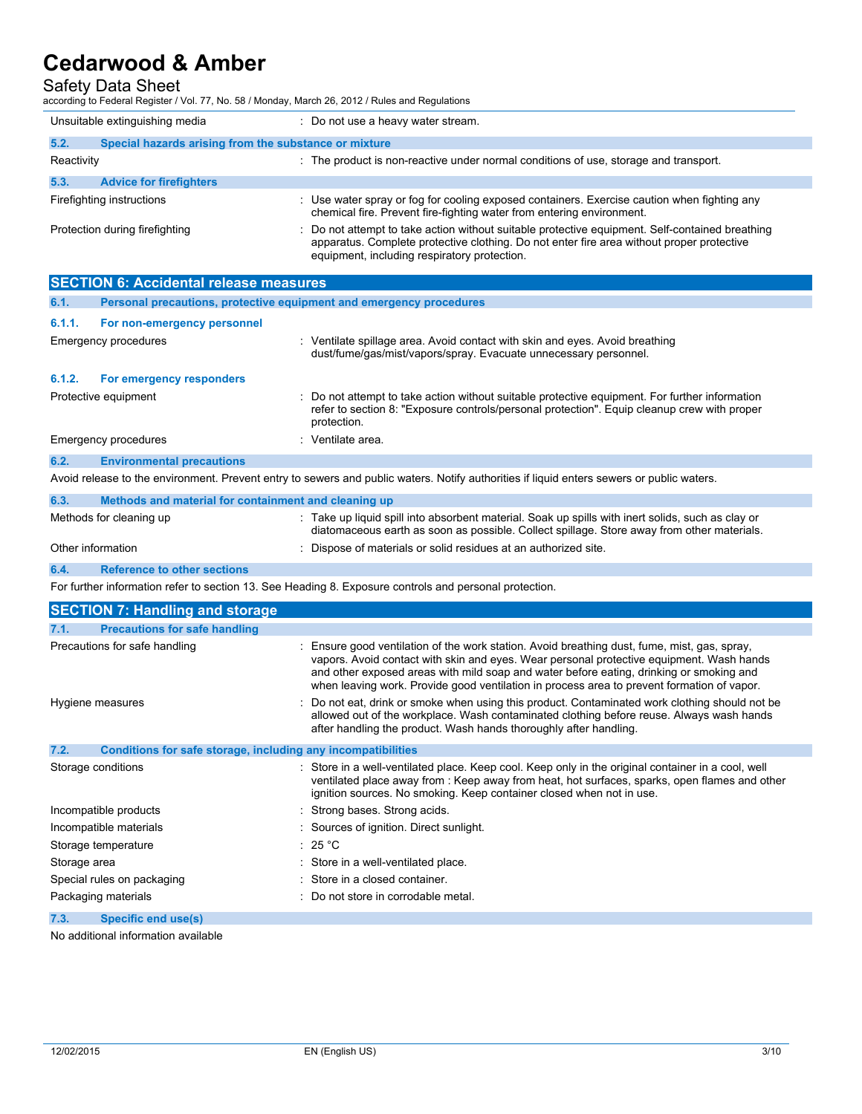Safety Data Sheet

according to Federal Register / Vol. 77, No. 58 / Monday, March 26, 2012 / Rules and Regulations

| Unsuitable extinguishing media |                                                       | : Do not use a heavy water stream.                                                                                                                                                                                                           |
|--------------------------------|-------------------------------------------------------|----------------------------------------------------------------------------------------------------------------------------------------------------------------------------------------------------------------------------------------------|
| 5.2.                           | Special hazards arising from the substance or mixture |                                                                                                                                                                                                                                              |
| Reactivity                     |                                                       | : The product is non-reactive under normal conditions of use, storage and transport.                                                                                                                                                         |
| 5.3.                           | <b>Advice for firefighters</b>                        |                                                                                                                                                                                                                                              |
|                                | Firefighting instructions                             | : Use water spray or fog for cooling exposed containers. Exercise caution when fighting any<br>chemical fire. Prevent fire-fighting water from entering environment.                                                                         |
| Protection during firefighting |                                                       | : Do not attempt to take action without suitable protective equipment. Self-contained breathing<br>apparatus. Complete protective clothing. Do not enter fire area without proper protective<br>equipment, including respiratory protection. |

|        | <b>SECTION 6: Accidental release measures</b>                                                                                             |                                                                                                                                                                                                            |  |  |
|--------|-------------------------------------------------------------------------------------------------------------------------------------------|------------------------------------------------------------------------------------------------------------------------------------------------------------------------------------------------------------|--|--|
| 6.1.   | Personal precautions, protective equipment and emergency procedures                                                                       |                                                                                                                                                                                                            |  |  |
| 6.1.1. | For non-emergency personnel                                                                                                               |                                                                                                                                                                                                            |  |  |
|        | Emergency procedures                                                                                                                      | : Ventilate spillage area. Avoid contact with skin and eyes. Avoid breathing<br>dust/fume/gas/mist/vapors/spray. Evacuate unnecessary personnel.                                                           |  |  |
| 6.1.2. | For emergency responders                                                                                                                  |                                                                                                                                                                                                            |  |  |
|        | Protective equipment                                                                                                                      | Do not attempt to take action without suitable protective equipment. For further information<br>refer to section 8: "Exposure controls/personal protection". Equip cleanup crew with proper<br>protection. |  |  |
|        | Emergency procedures                                                                                                                      | : Ventilate area.                                                                                                                                                                                          |  |  |
| 6.2.   | <b>Environmental precautions</b>                                                                                                          |                                                                                                                                                                                                            |  |  |
|        | Avoid release to the environment. Prevent entry to sewers and public waters. Notify authorities if liquid enters sewers or public waters. |                                                                                                                                                                                                            |  |  |
| 6.3.   | Methods and material for containment and cleaning up                                                                                      |                                                                                                                                                                                                            |  |  |
|        | Methods for cleaning up                                                                                                                   | : Take up liquid spill into absorbent material. Soak up spills with inert solids, such as clay or<br>diatomaceous earth as soon as possible. Collect spillage. Store away from other materials.            |  |  |
|        | Other information                                                                                                                         | Dispose of materials or solid residues at an authorized site.                                                                                                                                              |  |  |
| 6.4.   | <b>Reference to other sections</b>                                                                                                        |                                                                                                                                                                                                            |  |  |
|        |                                                                                                                                           | For further information refer to section 13. See Heading 8. Exposure controls and personal protection.                                                                                                     |  |  |
|        | <b>SECTION 7: Handling and storage</b>                                                                                                    |                                                                                                                                                                                                            |  |  |
| 7.1.   | <b>Precautions for safe handling</b>                                                                                                      |                                                                                                                                                                                                            |  |  |

| Precautions for safe handling                                        | : Ensure good ventilation of the work station. Avoid breathing dust, fume, mist, gas, spray,<br>vapors. Avoid contact with skin and eyes. Wear personal protective equipment. Wash hands<br>and other exposed areas with mild soap and water before eating, drinking or smoking and<br>when leaving work. Provide good ventilation in process area to prevent formation of vapor. |
|----------------------------------------------------------------------|-----------------------------------------------------------------------------------------------------------------------------------------------------------------------------------------------------------------------------------------------------------------------------------------------------------------------------------------------------------------------------------|
| Hygiene measures                                                     | : Do not eat, drink or smoke when using this product. Contaminated work clothing should not be<br>allowed out of the workplace. Wash contaminated clothing before reuse. Always wash hands<br>after handling the product. Wash hands thoroughly after handling.                                                                                                                   |
| 7.2.<br>Conditions for safe storage, including any incompatibilities |                                                                                                                                                                                                                                                                                                                                                                                   |
| Storage conditions                                                   | : Store in a well-ventilated place. Keep cool. Keep only in the original container in a cool, well<br>ventilated place away from : Keep away from heat, hot surfaces, sparks, open flames and other<br>ignition sources. No smoking. Keep container closed when not in use.                                                                                                       |
| Incompatible products                                                | : Strong bases. Strong acids.                                                                                                                                                                                                                                                                                                                                                     |
| Incompatible materials                                               | : Sources of ignition. Direct sunlight.                                                                                                                                                                                                                                                                                                                                           |
| Storage temperature                                                  | : 25 °C                                                                                                                                                                                                                                                                                                                                                                           |
| Storage area                                                         | : Store in a well-ventilated place.                                                                                                                                                                                                                                                                                                                                               |
| Special rules on packaging                                           | : Store in a closed container.                                                                                                                                                                                                                                                                                                                                                    |
| Packaging materials                                                  | : Do not store in corrodable metal.                                                                                                                                                                                                                                                                                                                                               |
| Specific end use(s)<br>7.3.                                          |                                                                                                                                                                                                                                                                                                                                                                                   |

No additional information available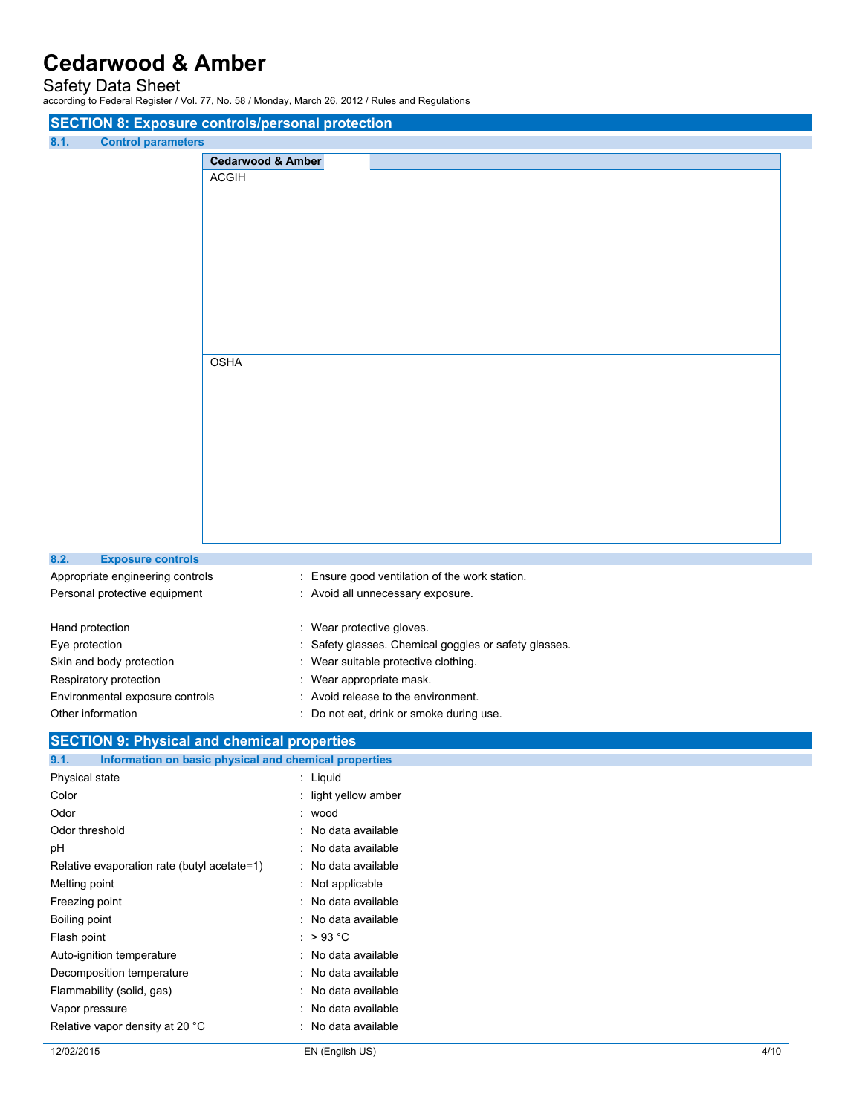# Safety Data Sheet

according to Federal Register / Vol. 77, No. 58 / Monday, March 26, 2012 / Rules and Regulations

| <b>SECTION 8: Exposure controls/personal protection</b> |                                                |  |
|---------------------------------------------------------|------------------------------------------------|--|
| 8.1.<br><b>Control parameters</b>                       |                                                |  |
|                                                         | <b>Cedarwood &amp; Amber</b>                   |  |
|                                                         | <b>ACGIH</b>                                   |  |
|                                                         |                                                |  |
|                                                         |                                                |  |
|                                                         |                                                |  |
|                                                         |                                                |  |
|                                                         |                                                |  |
|                                                         |                                                |  |
|                                                         |                                                |  |
|                                                         |                                                |  |
|                                                         |                                                |  |
|                                                         | <b>OSHA</b>                                    |  |
|                                                         |                                                |  |
|                                                         |                                                |  |
|                                                         |                                                |  |
|                                                         |                                                |  |
|                                                         |                                                |  |
|                                                         |                                                |  |
|                                                         |                                                |  |
|                                                         |                                                |  |
|                                                         |                                                |  |
|                                                         |                                                |  |
| 8.2.<br><b>Exposure controls</b>                        |                                                |  |
| Appropriate engineering controls                        | : Ensure good ventilation of the work station. |  |

| <b>Repropriate crigined ing controls</b> | $\sim$ Libert good voluments of the work station.     |  |
|------------------------------------------|-------------------------------------------------------|--|
| Personal protective equipment            | : Avoid all unnecessary exposure.                     |  |
| Hand protection                          | Wear protective gloves.                               |  |
| Eye protection                           | : Safety glasses. Chemical goggles or safety glasses. |  |
| Skin and body protection                 | : Wear suitable protective clothing.                  |  |
| Respiratory protection                   | Wear appropriate mask.                                |  |
| Environmental exposure controls          | : Avoid release to the environment.                   |  |
| Other information                        | Do not eat, drink or smoke during use.                |  |
|                                          |                                                       |  |

# **SECTION 9: Physical and chemical properties**

| 9.1.<br>Information on basic physical and chemical properties |                        |
|---------------------------------------------------------------|------------------------|
| Physical state                                                | : Liquid               |
| Color                                                         | $:$ light yellow amber |
| Odor                                                          | : wood                 |
| Odor threshold                                                | : No data available    |
| pH                                                            | : No data available    |
| Relative evaporation rate (butyl acetate=1)                   | : No data available    |
| Melting point                                                 | : Not applicable       |
| Freezing point                                                | : No data available    |
| Boiling point                                                 | : No data available    |
| Flash point                                                   | : $>93^{\circ}$ C      |
| Auto-ignition temperature                                     | : No data available    |
| Decomposition temperature                                     | : No data available    |
| Flammability (solid, gas)                                     | : No data available    |
| Vapor pressure                                                | : No data available    |
| Relative vapor density at 20 °C                               | : No data available    |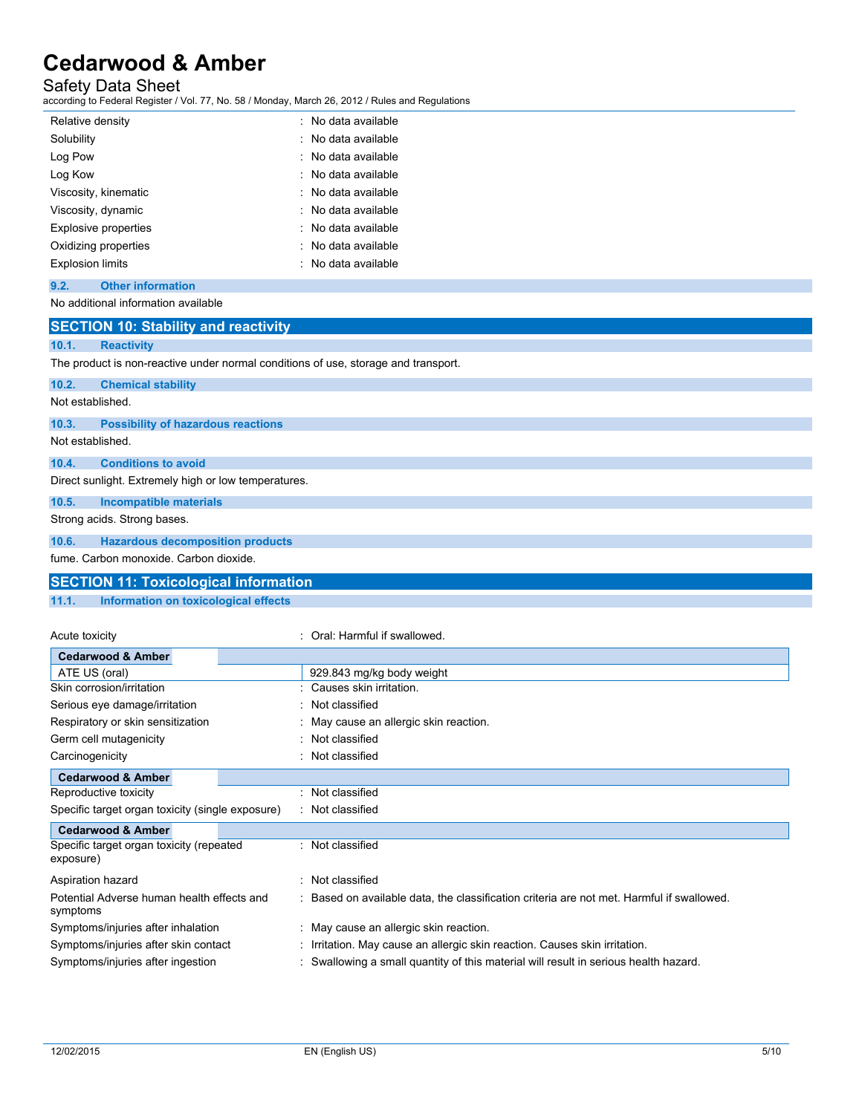Safety Data Sheet

according to Federal Register / Vol. 77, No. 58 / Monday, March 26, 2012 / Rules and Regulations

| Relative density            | : No data available |
|-----------------------------|---------------------|
| Solubility                  | : No data available |
| Log Pow                     | : No data available |
| Log Kow                     | : No data available |
| Viscosity, kinematic        | : No data available |
| Viscosity, dynamic          | : No data available |
| <b>Explosive properties</b> | : No data available |
| Oxidizing properties        | : No data available |
| <b>Explosion limits</b>     | : No data available |

### **9.2. Other information**

No additional information available

|                  | <b>SECTION 10: Stability and reactivity</b>                                        |
|------------------|------------------------------------------------------------------------------------|
| 10.1.            | <b>Reactivity</b>                                                                  |
|                  | The product is non-reactive under normal conditions of use, storage and transport. |
| 10.2.            | <b>Chemical stability</b>                                                          |
| Not established. |                                                                                    |
| 10.3.            | <b>Possibility of hazardous reactions</b>                                          |
| Not established. |                                                                                    |
| 10.4.            | <b>Conditions to avoid</b>                                                         |
|                  | Direct sunlight. Extremely high or low temperatures.                               |
| 10.5.            | <b>Incompatible materials</b>                                                      |
|                  | Strong acids. Strong bases.                                                        |
| 10.6.            | <b>Hazardous decomposition products</b>                                            |
|                  | fume. Carbon monoxide. Carbon dioxide.                                             |

# **SECTION 11: Toxicological information**

**11.1. Information on toxicological effects**

| Acute toxicity                                         | Oral: Harmful if swallowed.                                                               |
|--------------------------------------------------------|-------------------------------------------------------------------------------------------|
| <b>Cedarwood &amp; Amber</b>                           |                                                                                           |
| ATE US (oral)                                          | 929.843 mg/kg body weight                                                                 |
| Skin corrosion/irritation                              | Causes skin irritation.                                                                   |
| Serious eye damage/irritation                          | : Not classified                                                                          |
| Respiratory or skin sensitization                      | : May cause an allergic skin reaction.                                                    |
| Germ cell mutagenicity                                 | Not classified                                                                            |
| Carcinogenicity                                        | Not classified                                                                            |
| <b>Cedarwood &amp; Amber</b>                           |                                                                                           |
| Reproductive toxicity                                  | Not classified                                                                            |
| Specific target organ toxicity (single exposure)       | : Not classified                                                                          |
| <b>Cedarwood &amp; Amber</b>                           |                                                                                           |
| Specific target organ toxicity (repeated<br>exposure)  | Not classified                                                                            |
| Aspiration hazard                                      | Not classified                                                                            |
| Potential Adverse human health effects and<br>symptoms | : Based on available data, the classification criteria are not met. Harmful if swallowed. |
| Symptoms/injuries after inhalation                     | : May cause an allergic skin reaction.                                                    |
| Symptoms/injuries after skin contact                   | : Irritation. May cause an allergic skin reaction. Causes skin irritation.                |
| Symptoms/injuries after ingestion                      | Swallowing a small quantity of this material will result in serious health hazard.        |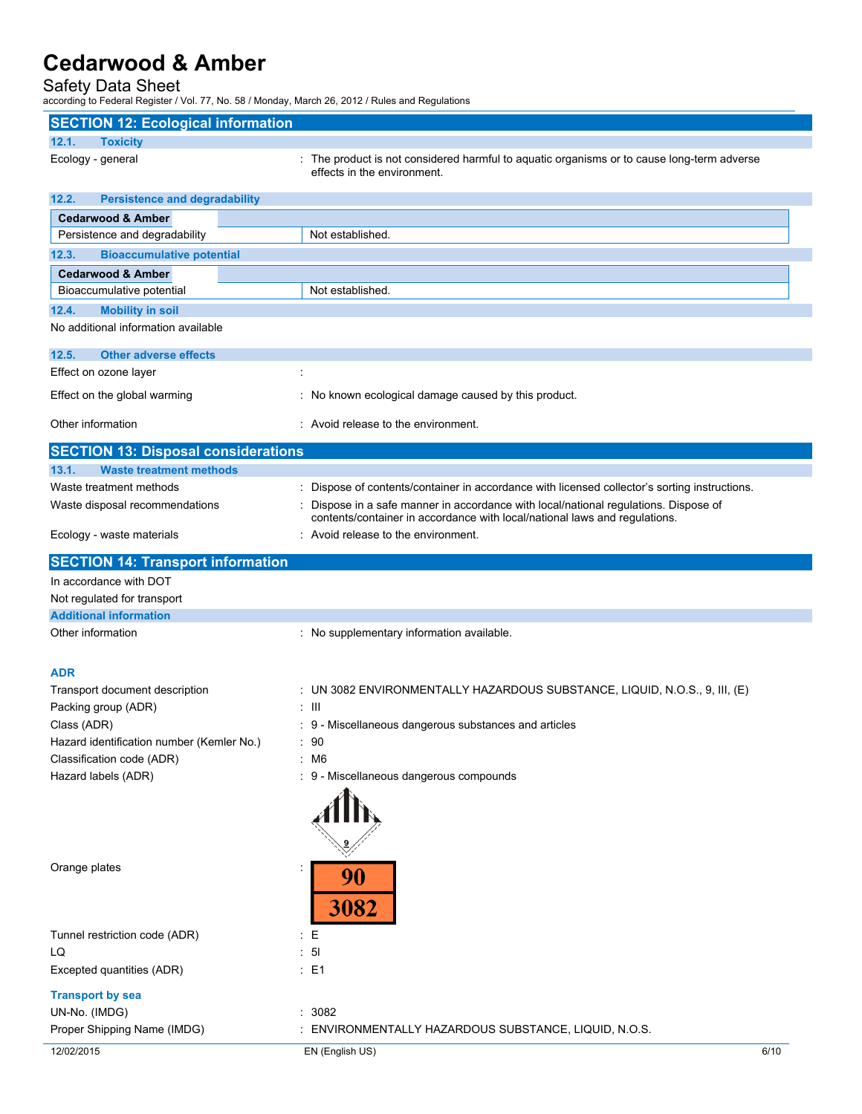Safety Data Sheet

according to Federal Register / Vol. 77, No. 58 / Monday, March 26, 2012 / Rules and Regulations

| <b>SECTION 12: Ecological information</b>     |                                                                                                                                                                  |
|-----------------------------------------------|------------------------------------------------------------------------------------------------------------------------------------------------------------------|
| 12.1.<br><b>Toxicity</b>                      |                                                                                                                                                                  |
| Ecology - general                             | : The product is not considered harmful to aquatic organisms or to cause long-term adverse<br>effects in the environment.                                        |
| <b>Persistence and degradability</b><br>12.2. |                                                                                                                                                                  |
| <b>Cedarwood &amp; Amber</b>                  |                                                                                                                                                                  |
| Persistence and degradability                 | Not established.                                                                                                                                                 |
| 12.3.<br><b>Bioaccumulative potential</b>     |                                                                                                                                                                  |
| <b>Cedarwood &amp; Amber</b>                  |                                                                                                                                                                  |
| Bioaccumulative potential                     | Not established.                                                                                                                                                 |
| 12.4.<br><b>Mobility in soil</b>              |                                                                                                                                                                  |
| No additional information available           |                                                                                                                                                                  |
| 12.5.<br><b>Other adverse effects</b>         |                                                                                                                                                                  |
| Effect on ozone layer                         |                                                                                                                                                                  |
| Effect on the global warming                  | : No known ecological damage caused by this product.                                                                                                             |
| Other information                             | : Avoid release to the environment.                                                                                                                              |
| <b>SECTION 13: Disposal considerations</b>    |                                                                                                                                                                  |
| 13.1.<br><b>Waste treatment methods</b>       |                                                                                                                                                                  |
| Waste treatment methods                       | Dispose of contents/container in accordance with licensed collector's sorting instructions.                                                                      |
| Waste disposal recommendations                | Dispose in a safe manner in accordance with local/national regulations. Dispose of<br>contents/container in accordance with local/national laws and regulations. |
| Ecology - waste materials                     | : Avoid release to the environment.                                                                                                                              |
| <b>SECTION 14: Transport information</b>      |                                                                                                                                                                  |
| In accordance with DOT                        |                                                                                                                                                                  |
| Not regulated for transport                   |                                                                                                                                                                  |
| <b>Additional information</b>                 |                                                                                                                                                                  |
| Other information                             | : No supplementary information available.                                                                                                                        |
| <b>ADR</b>                                    |                                                                                                                                                                  |
| Transport document description                | : UN 3082 ENVIRONMENTALLY HAZARDOUS SUBSTANCE, LIQUID, N.O.S., 9, III, (E)                                                                                       |
| Packing group (ADR)                           | : III                                                                                                                                                            |
| Class (ADR)                                   | : 9 - Miscellaneous dangerous substances and articles                                                                                                            |
| Hazard identification number (Kemler No.)     | : 90                                                                                                                                                             |
| Classification code (ADR)                     | : M6                                                                                                                                                             |
| Hazard labels (ADR)                           | : 9 - Miscellaneous dangerous compounds                                                                                                                          |
|                                               |                                                                                                                                                                  |
| Orange plates                                 | 90<br>3082                                                                                                                                                       |
| Tunnel restriction code (ADR)                 | $\mathbf{E}$                                                                                                                                                     |
| LQ                                            | : 51                                                                                                                                                             |
| Excepted quantities (ADR)                     | : E1                                                                                                                                                             |
| <b>Transport by sea</b>                       |                                                                                                                                                                  |
| UN-No. (IMDG)                                 | 3082                                                                                                                                                             |
| Proper Shipping Name (IMDG)                   | ENVIRONMENTALLY HAZARDOUS SUBSTANCE, LIQUID, N.O.S.                                                                                                              |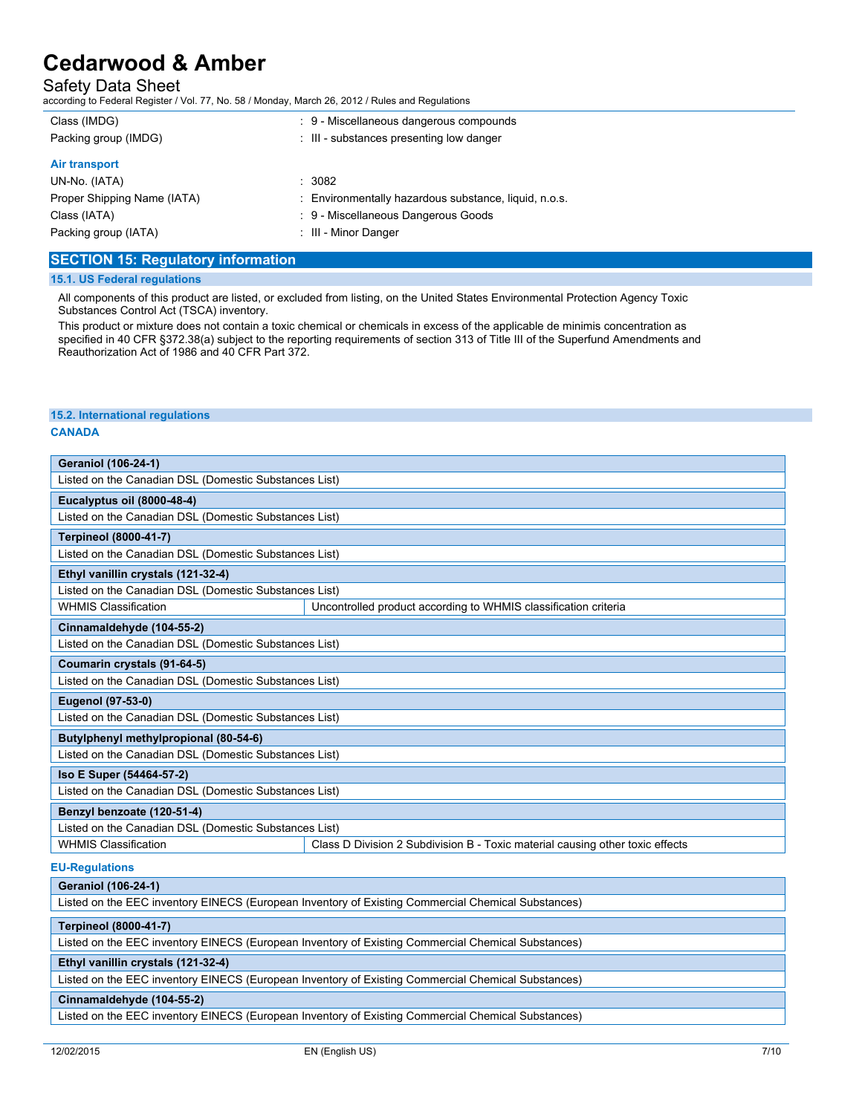# Safety Data Sheet

according to Federal Register / Vol. 77, No. 58 / Monday, March 26, 2012 / Rules and Regulations

| Class (IMDG)<br>Packing group (IMDG) | : 9 - Miscellaneous dangerous compounds<br>: III - substances presenting low danger |
|--------------------------------------|-------------------------------------------------------------------------------------|
| Air transport                        |                                                                                     |
| UN-No. (IATA)                        | : 3082                                                                              |
| Proper Shipping Name (IATA)          | : Environmentally hazardous substance, liquid, n.o.s.                               |
| Class (IATA)                         | : 9 - Miscellaneous Dangerous Goods                                                 |
| Packing group (IATA)                 | : III - Minor Danger                                                                |

# **SECTION 15: Regulatory information**

#### **15.1. US Federal regulations**

All components of this product are listed, or excluded from listing, on the United States Environmental Protection Agency Toxic Substances Control Act (TSCA) inventory.

This product or mixture does not contain a toxic chemical or chemicals in excess of the applicable de minimis concentration as specified in 40 CFR §372.38(a) subject to the reporting requirements of section 313 of Title III of the Superfund Amendments and Reauthorization Act of 1986 and 40 CFR Part 372.

### **15.2. International regulations**

### **CANADA**

| <b>Geraniol (106-24-1)</b>                                                                         |                                                                               |  |
|----------------------------------------------------------------------------------------------------|-------------------------------------------------------------------------------|--|
| Listed on the Canadian DSL (Domestic Substances List)                                              |                                                                               |  |
| Eucalyptus oil (8000-48-4)                                                                         |                                                                               |  |
| Listed on the Canadian DSL (Domestic Substances List)                                              |                                                                               |  |
| <b>Terpineol (8000-41-7)</b>                                                                       |                                                                               |  |
| Listed on the Canadian DSL (Domestic Substances List)                                              |                                                                               |  |
| Ethyl vanillin crystals (121-32-4)                                                                 |                                                                               |  |
| Listed on the Canadian DSL (Domestic Substances List)                                              |                                                                               |  |
| <b>WHMIS Classification</b>                                                                        | Uncontrolled product according to WHMIS classification criteria               |  |
| Cinnamaldehyde (104-55-2)                                                                          |                                                                               |  |
| Listed on the Canadian DSL (Domestic Substances List)                                              |                                                                               |  |
| Coumarin crystals (91-64-5)                                                                        |                                                                               |  |
| Listed on the Canadian DSL (Domestic Substances List)                                              |                                                                               |  |
| <b>Eugenol (97-53-0)</b>                                                                           |                                                                               |  |
| Listed on the Canadian DSL (Domestic Substances List)                                              |                                                                               |  |
| Butylphenyl methylpropional (80-54-6)                                                              |                                                                               |  |
| Listed on the Canadian DSL (Domestic Substances List)                                              |                                                                               |  |
| Iso E Super (54464-57-2)                                                                           |                                                                               |  |
| Listed on the Canadian DSL (Domestic Substances List)                                              |                                                                               |  |
| Benzyl benzoate (120-51-4)                                                                         |                                                                               |  |
| Listed on the Canadian DSL (Domestic Substances List)                                              |                                                                               |  |
| <b>WHMIS Classification</b>                                                                        | Class D Division 2 Subdivision B - Toxic material causing other toxic effects |  |
| <b>EU-Regulations</b>                                                                              |                                                                               |  |
| <b>Geraniol (106-24-1)</b>                                                                         |                                                                               |  |
| Listed on the EEC inventory EINECS (European Inventory of Existing Commercial Chemical Substances) |                                                                               |  |
| <b>Terpineol (8000-41-7)</b>                                                                       |                                                                               |  |
| Listed on the EEC inventory EINECS (European Inventory of Existing Commercial Chemical Substances) |                                                                               |  |
| Ethyl vanillin crystals (121-32-4)                                                                 |                                                                               |  |
| Listed on the EEC inventory EINECS (European Inventory of Existing Commercial Chemical Substances) |                                                                               |  |
| Cinnamaldehyde (104-55-2)                                                                          |                                                                               |  |
| Listed on the EEC inventory EINECS (European Inventory of Existing Commercial Chemical Substances) |                                                                               |  |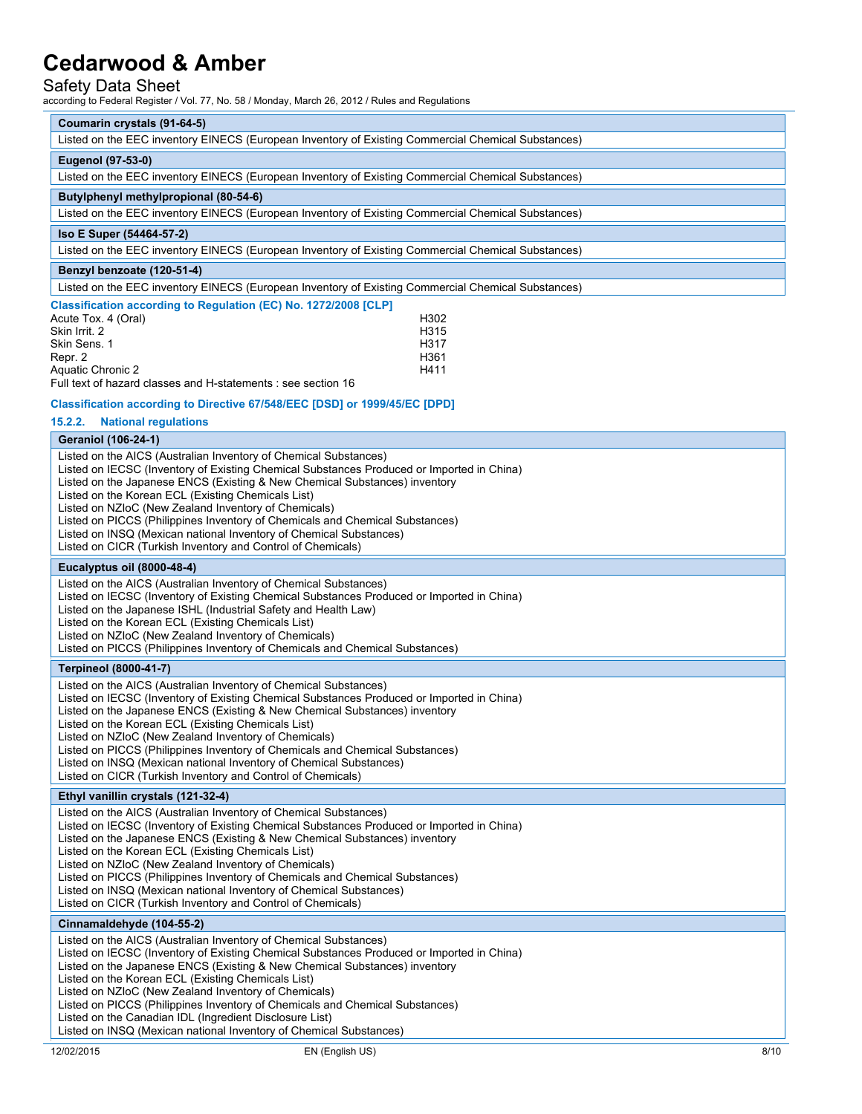## Safety Data Sheet

according to Federal Register / Vol. 77, No. 58 / Monday, March 26, 2012 / Rules and Regulations

| <b>Coumarin crystals (91-64-5)</b> |  |
|------------------------------------|--|
|------------------------------------|--|

|  |  | Listed on the EEC inventory EINECS (European Inventory of Existing Commercial Chemical Substances) |
|--|--|----------------------------------------------------------------------------------------------------|
|  |  |                                                                                                    |

#### **Eugenol (97-53-0)**

Listed on the EEC inventory EINECS (European Inventory of Existing Commercial Chemical Substances)

#### **Butylphenyl methylpropional (80-54-6)**

Listed on the EEC inventory EINECS (European Inventory of Existing Commercial Chemical Substances)

#### **Iso E Super (54464-57-2)**

Listed on the EEC inventory EINECS (European Inventory of Existing Commercial Chemical Substances)

#### **Benzyl benzoate (120-51-4)**

Listed on the EEC inventory EINECS (European Inventory of Existing Commercial Chemical Substances)

| Classification according to Regulation (EC) No. 1272/2008 [CLP] |                  |
|-----------------------------------------------------------------|------------------|
| Acute Tox. 4 (Oral)                                             | H <sub>302</sub> |
| Skin Irrit. 2                                                   | H <sub>315</sub> |
| Skin Sens. 1                                                    | H317             |
| Repr. 2                                                         | H361             |
| Aquatic Chronic 2                                               | H411             |
| Full text of hazard classes and H-statements : see section 16   |                  |

### **Classification according to Directive 67/548/EEC [DSD] or 1999/45/EC [DPD]**

**15.2.2. National regulations**

### **Geraniol (106-24-1)**

| Listed on the AICS (Australian Inventory of Chemical Substances)                          |  |
|-------------------------------------------------------------------------------------------|--|
| Listed on IECSC (Inventory of Existing Chemical Substances Produced or Imported in China) |  |
| Listed on the Japanese ENCS (Existing & New Chemical Substances) inventory                |  |
| Listed on the Korean ECL (Existing Chemicals List)                                        |  |
| Listed on NZIoC (New Zealand Inventory of Chemicals)                                      |  |
| Listed on PICCS (Philippines Inventory of Chemicals and Chemical Substances)              |  |
| Listed on INSQ (Mexican national Inventory of Chemical Substances)                        |  |
| Listed on CICR (Turkish Inventory and Control of Chemicals)                               |  |
|                                                                                           |  |

#### **Eucalyptus oil (8000-48-4)**

Listed on the AICS (Australian Inventory of Chemical Substances) Listed on IECSC (Inventory of Existing Chemical Substances Produced or Imported in China) Listed on the Japanese ISHL (Industrial Safety and Health Law) Listed on the Korean ECL (Existing Chemicals List) Listed on NZIoC (New Zealand Inventory of Chemicals) Listed on PICCS (Philippines Inventory of Chemicals and Chemical Substances)

#### **Terpineol (8000-41-7)**

Listed on the AICS (Australian Inventory of Chemical Substances) Listed on IECSC (Inventory of Existing Chemical Substances Produced or Imported in China) Listed on the Japanese ENCS (Existing & New Chemical Substances) inventory Listed on the Korean ECL (Existing Chemicals List) Listed on NZIoC (New Zealand Inventory of Chemicals) Listed on PICCS (Philippines Inventory of Chemicals and Chemical Substances) Listed on INSQ (Mexican national Inventory of Chemical Substances) Listed on CICR (Turkish Inventory and Control of Chemicals)

#### **Ethyl vanillin crystals (121-32-4)**

Listed on the AICS (Australian Inventory of Chemical Substances) Listed on IECSC (Inventory of Existing Chemical Substances Produced or Imported in China) Listed on the Japanese ENCS (Existing & New Chemical Substances) inventory Listed on the Korean ECL (Existing Chemicals List) Listed on NZIoC (New Zealand Inventory of Chemicals) Listed on PICCS (Philippines Inventory of Chemicals and Chemical Substances) Listed on INSQ (Mexican national Inventory of Chemical Substances) Listed on CICR (Turkish Inventory and Control of Chemicals)

### **Cinnamaldehyde (104-55-2)**

Listed on the AICS (Australian Inventory of Chemical Substances) Listed on IECSC (Inventory of Existing Chemical Substances Produced or Imported in China) Listed on the Japanese ENCS (Existing & New Chemical Substances) inventory Listed on the Korean ECL (Existing Chemicals List) Listed on NZIoC (New Zealand Inventory of Chemicals) Listed on PICCS (Philippines Inventory of Chemicals and Chemical Substances) Listed on the Canadian IDL (Ingredient Disclosure List)

Listed on INSQ (Mexican national Inventory of Chemical Substances)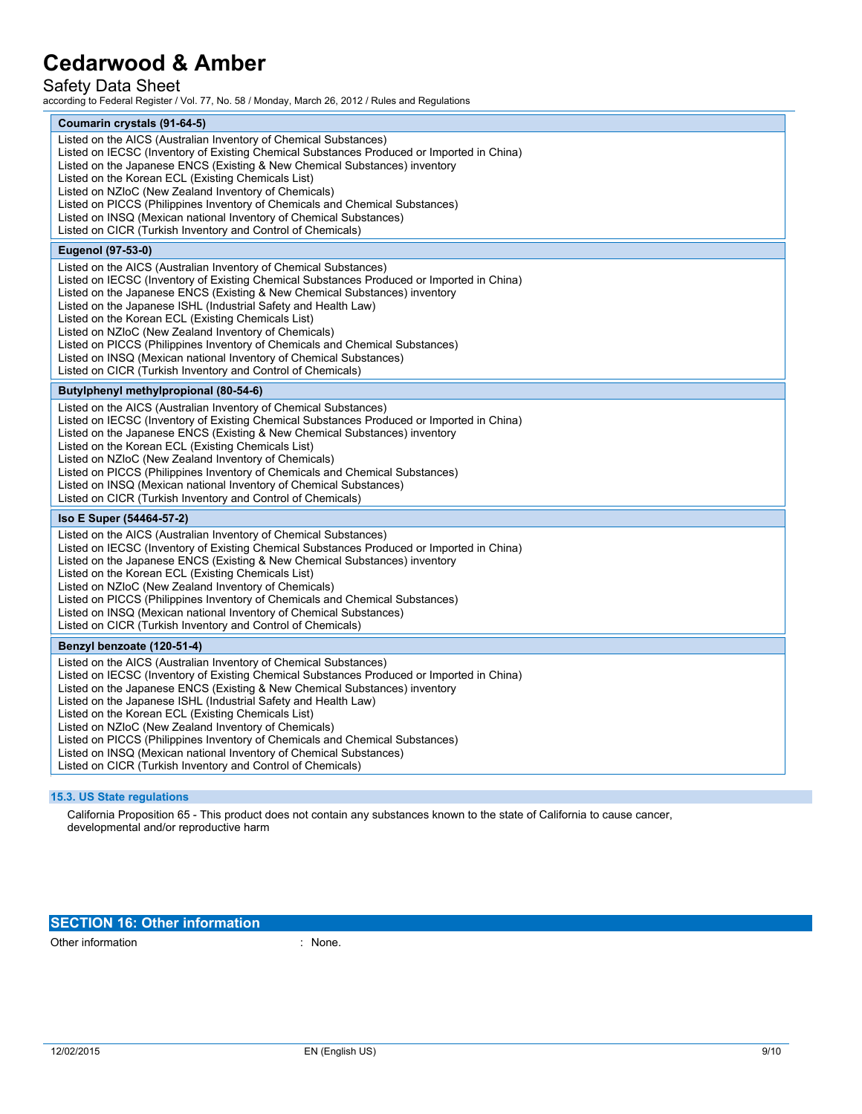# Safety Data Sheet

according to Federal Register / Vol. 77, No. 58 / Monday, March 26, 2012 / Rules and Regulations

| Coumarin crystals (91-64-5)                                                                                                                                                                                                                                                                                                                                                                                                                                                                                                                                                                                                                      |
|--------------------------------------------------------------------------------------------------------------------------------------------------------------------------------------------------------------------------------------------------------------------------------------------------------------------------------------------------------------------------------------------------------------------------------------------------------------------------------------------------------------------------------------------------------------------------------------------------------------------------------------------------|
| Listed on the AICS (Australian Inventory of Chemical Substances)<br>Listed on IECSC (Inventory of Existing Chemical Substances Produced or Imported in China)<br>Listed on the Japanese ENCS (Existing & New Chemical Substances) inventory<br>Listed on the Korean ECL (Existing Chemicals List)<br>Listed on NZIoC (New Zealand Inventory of Chemicals)<br>Listed on PICCS (Philippines Inventory of Chemicals and Chemical Substances)<br>Listed on INSQ (Mexican national Inventory of Chemical Substances)<br>Listed on CICR (Turkish Inventory and Control of Chemicals)                                                                   |
| Eugenol (97-53-0)                                                                                                                                                                                                                                                                                                                                                                                                                                                                                                                                                                                                                                |
| Listed on the AICS (Australian Inventory of Chemical Substances)<br>Listed on IECSC (Inventory of Existing Chemical Substances Produced or Imported in China)<br>Listed on the Japanese ENCS (Existing & New Chemical Substances) inventory<br>Listed on the Japanese ISHL (Industrial Safety and Health Law)<br>Listed on the Korean ECL (Existing Chemicals List)<br>Listed on NZIoC (New Zealand Inventory of Chemicals)<br>Listed on PICCS (Philippines Inventory of Chemicals and Chemical Substances)<br>Listed on INSQ (Mexican national Inventory of Chemical Substances)<br>Listed on CICR (Turkish Inventory and Control of Chemicals) |
| Butylphenyl methylpropional (80-54-6)                                                                                                                                                                                                                                                                                                                                                                                                                                                                                                                                                                                                            |
| Listed on the AICS (Australian Inventory of Chemical Substances)<br>Listed on IECSC (Inventory of Existing Chemical Substances Produced or Imported in China)<br>Listed on the Japanese ENCS (Existing & New Chemical Substances) inventory<br>Listed on the Korean ECL (Existing Chemicals List)<br>Listed on NZIoC (New Zealand Inventory of Chemicals)<br>Listed on PICCS (Philippines Inventory of Chemicals and Chemical Substances)<br>Listed on INSQ (Mexican national Inventory of Chemical Substances)<br>Listed on CICR (Turkish Inventory and Control of Chemicals)                                                                   |
| Iso E Super (54464-57-2)                                                                                                                                                                                                                                                                                                                                                                                                                                                                                                                                                                                                                         |
| Listed on the AICS (Australian Inventory of Chemical Substances)<br>Listed on IECSC (Inventory of Existing Chemical Substances Produced or Imported in China)<br>Listed on the Japanese ENCS (Existing & New Chemical Substances) inventory<br>Listed on the Korean ECL (Existing Chemicals List)<br>Listed on NZIoC (New Zealand Inventory of Chemicals)<br>Listed on PICCS (Philippines Inventory of Chemicals and Chemical Substances)<br>Listed on INSQ (Mexican national Inventory of Chemical Substances)<br>Listed on CICR (Turkish Inventory and Control of Chemicals)                                                                   |
| Benzyl benzoate (120-51-4)                                                                                                                                                                                                                                                                                                                                                                                                                                                                                                                                                                                                                       |
| Listed on the AICS (Australian Inventory of Chemical Substances)<br>Listed on IECSC (Inventory of Existing Chemical Substances Produced or Imported in China)<br>Listed on the Japanese ENCS (Existing & New Chemical Substances) inventory<br>Listed on the Japanese ISHL (Industrial Safety and Health Law)<br>Listed on the Korean ECL (Existing Chemicals List)<br>Listed on NZIoC (New Zealand Inventory of Chemicals)<br>Listed on PICCS (Philippines Inventory of Chemicals and Chemical Substances)<br>Listed on INSQ (Mexican national Inventory of Chemical Substances)<br>Listed on CICR (Turkish Inventory and Control of Chemicals) |

### **15.3. US State regulations**

California Proposition 65 - This product does not contain any substances known to the state of California to cause cancer, developmental and/or reproductive harm

# **SECTION 16: Other information**

Other information in the contract of the contract of the contract of the contract of the contract of the contract of the contract of the contract of the contract of the contract of the contract of the contract of the contr